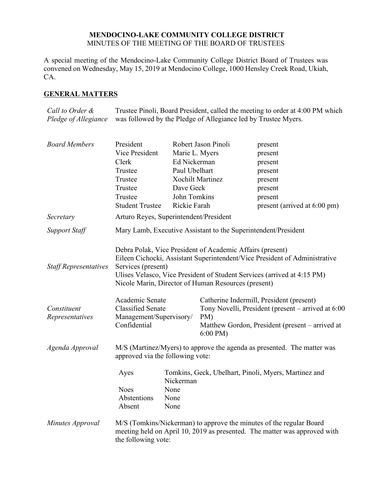# **MENDOCINO-LAKE COMMUNITY COLLEGE DISTRICT** MINUTES OF THE MEETING OF THE BOARD OF TRUSTEES

A special meeting of the Mendocino-Lake Community College District Board of Trustees was convened on Wednesday, May 15, 2019 at Mendocino College, 1000 Hensley Creek Road, Ukiah, CA.

# **GENERAL MATTERS**

*Call to Order & Pledge of Allegiance* Trustee Pinoli, Board President, called the meeting to order at 4:00 PM which was followed by the Pledge of Allegiance led by Trustee Myers.

| <b>Board Members</b>           | President<br>Vice President                                                                                                                                                                                                                                                                     | Marie L. Myers            | Robert Jason Pinoli                                                                                                                                                           | present<br>present                                                                                                                               |  |
|--------------------------------|-------------------------------------------------------------------------------------------------------------------------------------------------------------------------------------------------------------------------------------------------------------------------------------------------|---------------------------|-------------------------------------------------------------------------------------------------------------------------------------------------------------------------------|--------------------------------------------------------------------------------------------------------------------------------------------------|--|
|                                | Clerk                                                                                                                                                                                                                                                                                           | Ed Nickerman              |                                                                                                                                                                               | present                                                                                                                                          |  |
|                                | Trustee                                                                                                                                                                                                                                                                                         | Paul Ubelhart             |                                                                                                                                                                               | present                                                                                                                                          |  |
|                                | Trustee                                                                                                                                                                                                                                                                                         |                           | <b>Xochilt Martinez</b>                                                                                                                                                       | present                                                                                                                                          |  |
|                                | Trustee                                                                                                                                                                                                                                                                                         | Dave Geck                 |                                                                                                                                                                               | present                                                                                                                                          |  |
|                                | Trustee                                                                                                                                                                                                                                                                                         | John Tomkins              |                                                                                                                                                                               | present                                                                                                                                          |  |
|                                | <b>Student Trustee</b>                                                                                                                                                                                                                                                                          | Rickie Farah              |                                                                                                                                                                               | present (arrived at 6:00 pm)                                                                                                                     |  |
| Secretary                      | Arturo Reyes, Superintendent/President                                                                                                                                                                                                                                                          |                           |                                                                                                                                                                               |                                                                                                                                                  |  |
| <b>Support Staff</b>           | Mary Lamb, Executive Assistant to the Superintendent/President                                                                                                                                                                                                                                  |                           |                                                                                                                                                                               |                                                                                                                                                  |  |
| <b>Staff Representatives</b>   | Debra Polak, Vice President of Academic Affairs (present)<br>Eileen Cichocki, Assistant Superintendent/Vice President of Administrative<br>Services (present)<br>Ulises Velasco, Vice President of Student Services (arrived at 4:15 PM)<br>Nicole Marin, Director of Human Resources (present) |                           |                                                                                                                                                                               |                                                                                                                                                  |  |
| Constituent<br>Representatives | Academic Senate<br><b>Classified Senate</b><br>Management/Supervisory/<br>Confidential                                                                                                                                                                                                          |                           | Catherine Indermill, President (present)<br>Tony Novelli, President (present – arrived at 6:00<br>PM)<br>Matthew Gordon, President (present – arrived at<br>$6:00 \text{ PM}$ |                                                                                                                                                  |  |
| Agenda Approval                | M/S (Martinez/Myers) to approve the agenda as presented. The matter was<br>approved via the following vote:                                                                                                                                                                                     |                           |                                                                                                                                                                               |                                                                                                                                                  |  |
|                                | Ayes<br><b>Noes</b><br>Abstentions                                                                                                                                                                                                                                                              | Nickerman<br>None<br>None |                                                                                                                                                                               | Tomkins, Geck, Ubelhart, Pinoli, Myers, Martinez and                                                                                             |  |
|                                | Absent                                                                                                                                                                                                                                                                                          | None                      |                                                                                                                                                                               |                                                                                                                                                  |  |
| Minutes Approval               | the following vote:                                                                                                                                                                                                                                                                             |                           |                                                                                                                                                                               | M/S (Tomkins/Nickerman) to approve the minutes of the regular Board<br>meeting held on April 10, 2019 as presented. The matter was approved with |  |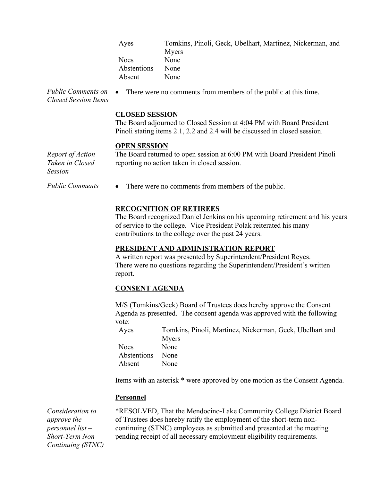| Ayes        | Tomkins, Pinoli, Geck, Ubelhart, Martinez, Nickerman, and |
|-------------|-----------------------------------------------------------|
|             | Myers                                                     |
| <b>Noes</b> | None                                                      |
| Abstentions | None                                                      |
| Absent      | None                                                      |

*Public Comments on Closed Session Items* There were no comments from members of the public at this time.

### **CLOSED SESSION**

The Board adjourned to Closed Session at 4:04 PM with Board President Pinoli stating items 2.1, 2.2 and 2.4 will be discussed in closed session.

#### **OPEN SESSION**

*Report of Action Taken in Closed Session*

The Board returned to open session at 6:00 PM with Board President Pinoli reporting no action taken in closed session.

*Public Comments* • There were no comments from members of the public.

# **RECOGNITION OF RETIREES**

The Board recognized Daniel Jenkins on his upcoming retirement and his years of service to the college. Vice President Polak reiterated his many contributions to the college over the past 24 years.

### **PRESIDENT AND ADMINISTRATION REPORT**

A written report was presented by Superintendent/President Reyes. There were no questions regarding the Superintendent/President's written report.

# **CONSENT AGENDA**

M/S (Tomkins/Geck) Board of Trustees does hereby approve the Consent Agenda as presented. The consent agenda was approved with the following vote:

Ayes Tomkins, Pinoli, Martinez, Nickerman, Geck, Ubelhart and Myers Noes None Abstentions None Absent None

Items with an asterisk \* were approved by one motion as the Consent Agenda.

# **Personnel**

*Consideration to approve the personnel list – Short-Term Non Continuing (STNC)*  \*RESOLVED, That the Mendocino-Lake Community College District Board of Trustees does hereby ratify the employment of the short-term noncontinuing (STNC) employees as submitted and presented at the meeting pending receipt of all necessary employment eligibility requirements.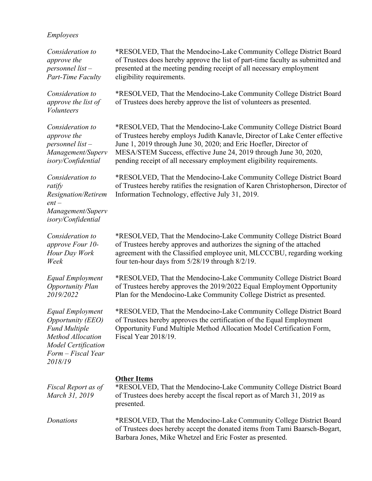### *Employees*

*Consideration to approve the personnel list – Part-Time Faculty*

*Consideration to approve the list of Volunteers*

*Consideration to approve the personnel list – Management/Superv isory/Confidential*

\*RESOLVED, That the Mendocino-Lake Community College District Board of Trustees hereby employs Judith Kanavle, Director of Lake Center effective June 1, 2019 through June 30, 2020; and Eric Hoefler, Director of MESA/STEM Success, effective June 24, 2019 through June 30, 2020,

pending receipt of all necessary employment eligibility requirements.

\*RESOLVED, That the Mendocino-Lake Community College District Board of Trustees does hereby approve the list of part-time faculty as submitted and

\*RESOLVED, That the Mendocino-Lake Community College District Board

presented at the meeting pending receipt of all necessary employment

of Trustees does hereby approve the list of volunteers as presented.

eligibility requirements.

*Consideration to ratify Resignation/Retirem ent – Management/Superv isory/Confidential*

*Consideration to approve Four 10- Hour Day Work Week*

*Equal Employment Opportunity Plan 2019/2022*

*Equal Employment Opportunity (EEO) Fund Multiple Method Allocation Model Certification Form – Fiscal Year 2018/19*

\*RESOLVED, That the Mendocino-Lake Community College District Board of Trustees hereby ratifies the resignation of Karen Christopherson, Director of Information Technology, effective July 31, 2019.

\*RESOLVED, That the Mendocino-Lake Community College District Board of Trustees hereby approves and authorizes the signing of the attached agreement with the Classified employee unit, MLCCCBU, regarding working four ten-hour days from 5/28/19 through 8/2/19.

\*RESOLVED, That the Mendocino-Lake Community College District Board of Trustees hereby approves the 2019/2022 Equal Employment Opportunity Plan for the Mendocino-Lake Community College District as presented.

\*RESOLVED, That the Mendocino-Lake Community College District Board of Trustees hereby approves the certification of the Equal Employment Opportunity Fund Multiple Method Allocation Model Certification Form, Fiscal Year 2018/19.

#### **Other Items**

*Fiscal Report as of March 31, 2019* \*RESOLVED, That the Mendocino-Lake Community College District Board of Trustees does hereby accept the fiscal report as of March 31, 2019 as presented.

*Donations* \*RESOLVED, That the Mendocino-Lake Community College District Board of Trustees does hereby accept the donated items from Tami Baarsch-Bogart, Barbara Jones, Mike Whetzel and Eric Foster as presented.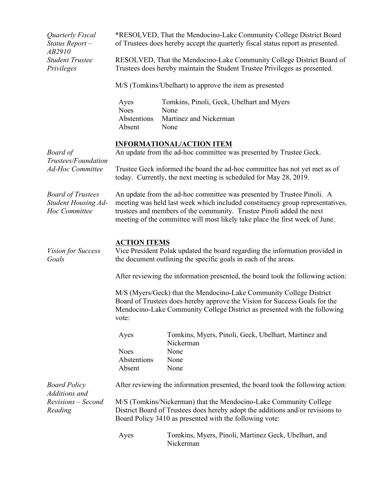| Quarterly Fiscal<br>Status Report-<br>AB2910                            | *RESOLVED, That the Mendocino-Lake Community College District Board<br>of Trustees does hereby accept the quarterly fiscal status report as presented.                                                                                                                                                          |                                                                                     |  |  |
|-------------------------------------------------------------------------|-----------------------------------------------------------------------------------------------------------------------------------------------------------------------------------------------------------------------------------------------------------------------------------------------------------------|-------------------------------------------------------------------------------------|--|--|
| <b>Student Trustee</b><br>Privileges                                    | RESOLVED, That the Mendocino-Lake Community College District Board of<br>Trustees does hereby maintain the Student Trustee Privileges as presented.                                                                                                                                                             |                                                                                     |  |  |
|                                                                         | M/S (Tomkins/Ubelhart) to approve the item as presented                                                                                                                                                                                                                                                         |                                                                                     |  |  |
|                                                                         | Ayes<br><b>Noes</b><br>Abstentions<br>Absent                                                                                                                                                                                                                                                                    | Tomkins, Pinoli, Geck, Ubelhart and Myers<br>None<br>Martinez and Nickerman<br>None |  |  |
| <b>Board</b> of<br>Trustees/Foundation<br><b>Ad-Hoc Committee</b>       | <b>INFORMATIONAL/ACTION ITEM</b><br>An update from the ad-hoc committee was presented by Trustee Geck.                                                                                                                                                                                                          |                                                                                     |  |  |
|                                                                         | Trustee Geck informed the board the ad-hoc committee has not yet met as of<br>today. Currently, the next meeting is scheduled for May 28, 2019.                                                                                                                                                                 |                                                                                     |  |  |
| <b>Board of Trustees</b><br><b>Student Housing Ad-</b><br>Hoc Committee | An update from the ad-hoc committee was presented by Trustee Pinoli. A<br>meeting was held last week which included constituency group representatives,<br>trustees and members of the community. Trustee Pinoli added the next<br>meeting of the committee will most likely take place the first week of June. |                                                                                     |  |  |
| Vision for Success<br>Goals                                             | <b>ACTION ITEMS</b><br>Vice President Polak updated the board regarding the information provided in<br>the document outlining the specific goals in each of the areas.                                                                                                                                          |                                                                                     |  |  |
|                                                                         | After reviewing the information presented, the board took the following action:                                                                                                                                                                                                                                 |                                                                                     |  |  |
|                                                                         | M/S (Myers/Geck) that the Mendocino-Lake Community College District<br>Board of Trustees does hereby approve the Vision for Success Goals for the<br>Mendocino-Lake Community College District as presented with the following<br>vote:                                                                         |                                                                                     |  |  |
|                                                                         | Ayes                                                                                                                                                                                                                                                                                                            | Tomkins, Myers, Pinoli, Geck, Ubelhart, Martinez and<br>Nickerman                   |  |  |
|                                                                         | <b>Noes</b><br>Abstentions<br>Absent                                                                                                                                                                                                                                                                            | None<br>None<br>None                                                                |  |  |
| <b>Board Policy</b><br>Additions and<br>Revisions – Second<br>Reading   | After reviewing the information presented, the board took the following action:                                                                                                                                                                                                                                 |                                                                                     |  |  |
|                                                                         | M/S (Tomkins/Nickerman) that the Mendocino-Lake Community College<br>District Board of Trustees does hereby adopt the additions and/or revisions to<br>Board Policy 3410 as presented with the following vote:                                                                                                  |                                                                                     |  |  |
|                                                                         | Ayes                                                                                                                                                                                                                                                                                                            | Tomkins, Myers, Pinoli, Martinez Geck, Ubelhart, and<br>Nickerman                   |  |  |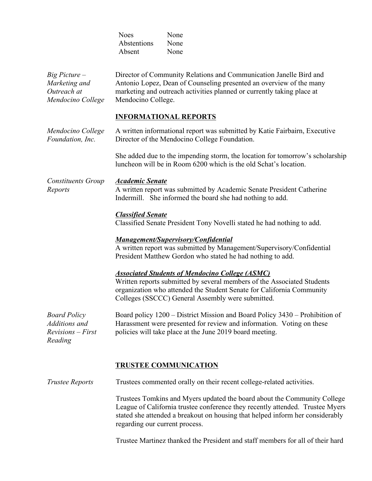|                                                                        | <b>Noes</b><br>Abstentions<br>Absent                                                                                                                                                                                                      | None<br>None<br>None                                                                                                                                                                                                                                            |  |  |
|------------------------------------------------------------------------|-------------------------------------------------------------------------------------------------------------------------------------------------------------------------------------------------------------------------------------------|-----------------------------------------------------------------------------------------------------------------------------------------------------------------------------------------------------------------------------------------------------------------|--|--|
| $Big$ Picture $-$<br>Marketing and<br>Outreach at<br>Mendocino College | Director of Community Relations and Communication Janelle Bird and<br>Antonio Lopez, Dean of Counseling presented an overview of the many<br>marketing and outreach activities planned or currently taking place at<br>Mendocino College. |                                                                                                                                                                                                                                                                 |  |  |
|                                                                        | <b>INFORMATIONAL REPORTS</b>                                                                                                                                                                                                              |                                                                                                                                                                                                                                                                 |  |  |
| Mendocino College<br>Foundation, Inc.                                  | A written informational report was submitted by Katie Fairbairn, Executive<br>Director of the Mendocino College Foundation.                                                                                                               |                                                                                                                                                                                                                                                                 |  |  |
|                                                                        |                                                                                                                                                                                                                                           | She added due to the impending storm, the location for tomorrow's scholarship<br>luncheon will be in Room 6200 which is the old Schat's location.                                                                                                               |  |  |
| <b>Constituents Group</b><br>Reports                                   | <b>Academic Senate</b><br>A written report was submitted by Academic Senate President Catherine<br>Indermill. She informed the board she had nothing to add.                                                                              |                                                                                                                                                                                                                                                                 |  |  |
|                                                                        | <b>Classified Senate</b>                                                                                                                                                                                                                  | Classified Senate President Tony Novelli stated he had nothing to add.                                                                                                                                                                                          |  |  |
|                                                                        |                                                                                                                                                                                                                                           | <b>Management/Supervisory/Confidential</b><br>A written report was submitted by Management/Supervisory/Confidential<br>President Matthew Gordon who stated he had nothing to add.                                                                               |  |  |
|                                                                        |                                                                                                                                                                                                                                           | <b>Associated Students of Mendocino College (ASMC)</b><br>Written reports submitted by several members of the Associated Students<br>organization who attended the Student Senate for California Community<br>Colleges (SSCCC) General Assembly were submitted. |  |  |
| <b>Board Policy</b><br>Additions and<br>$Revisions - First$<br>Reading |                                                                                                                                                                                                                                           | Board policy 1200 - District Mission and Board Policy 3430 - Prohibition of<br>Harassment were presented for review and information. Voting on these<br>policies will take place at the June 2019 board meeting.                                                |  |  |
|                                                                        |                                                                                                                                                                                                                                           | <b>TRUSTEE COMMUNICATION</b>                                                                                                                                                                                                                                    |  |  |
| <b>Trustee Reports</b>                                                 |                                                                                                                                                                                                                                           | Trustees commented orally on their recent college-related activities.                                                                                                                                                                                           |  |  |
|                                                                        | regarding our current process.                                                                                                                                                                                                            | Trustees Tomkins and Myers updated the board about the Community College<br>League of California trustee conference they recently attended. Trustee Myers<br>stated she attended a breakout on housing that helped inform her considerably                      |  |  |
|                                                                        |                                                                                                                                                                                                                                           | Trustee Martinez thanked the President and staff members for all of their hard                                                                                                                                                                                  |  |  |